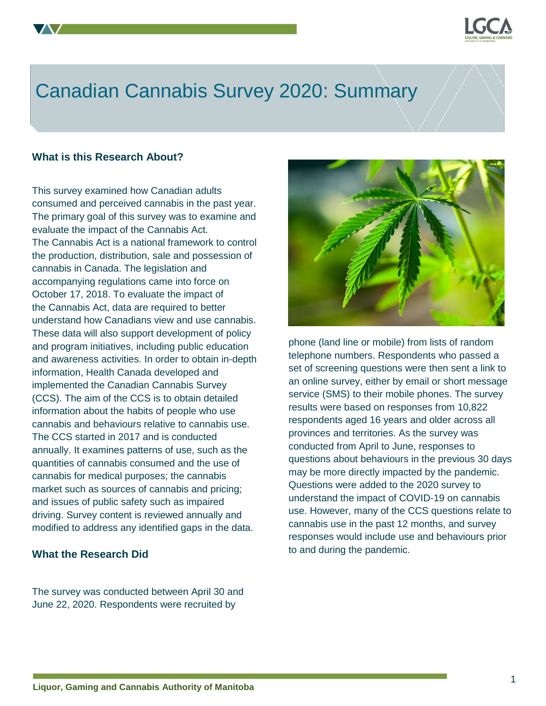

# Canadian Cannabis Survey 2020: Summary

#### **What is this Research About?**

This survey examined how Canadian adults consumed and perceived cannabis in the past year. The primary goal of this survey was to examine and evaluate the impact of the Cannabis Act. The Cannabis Act is a national framework to control the production, distribution, sale and possession of cannabis in Canada. The legislation and accompanying regulations came into force on October 17, 2018. To evaluate the impact of the Cannabis Act, data are required to better understand how Canadians view and use cannabis. These data will also support development of policy and program initiatives, including public education and awareness activities. In order to obtain in-depth information, Health Canada developed and implemented the Canadian Cannabis Survey (CCS). The aim of the CCS is to obtain detailed information about the habits of people who use cannabis and behaviours relative to cannabis use. The CCS started in 2017 and is conducted annually. It examines patterns of use, such as the quantities of cannabis consumed and the use of cannabis for medical purposes; the cannabis market such as sources of cannabis and pricing; and issues of public safety such as impaired driving. Survey content is reviewed annually and modified to address any identified gaps in the data.

# **What the Research Did**

The survey was conducted between April 30 and June 22, 2020. Respondents were recruited by



phone (land line or mobile) from lists of random telephone numbers. Respondents who passed a set of screening questions were then sent a link to an online survey, either by email or short message service (SMS) to their mobile phones. The survey results were based on responses from 10,822 respondents aged 16 years and older across all provinces and territories. As the survey was conducted from April to June, responses to questions about behaviours in the previous 30 days may be more directly impacted by the pandemic. Questions were added to the 2020 survey to understand the impact of COVID-19 on cannabis use. However, many of the CCS questions relate to cannabis use in the past 12 months, and survey responses would include use and behaviours prior to and during the pandemic.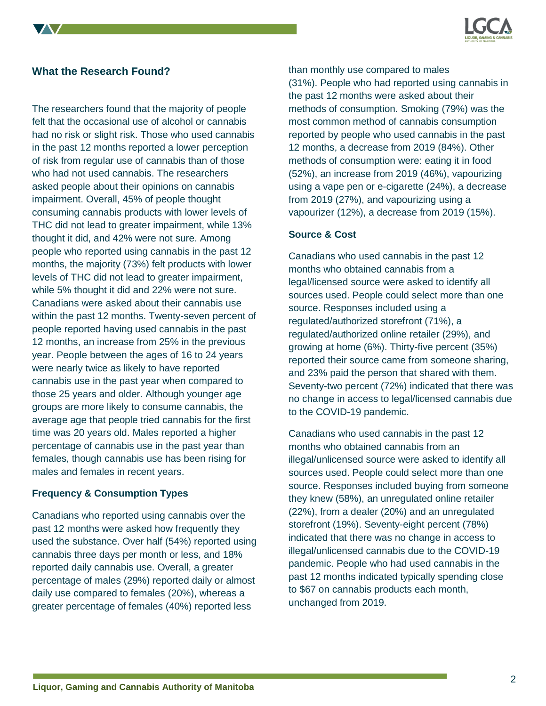

# **What the Research Found?**

The researchers found that the majority of people felt that the occasional use of alcohol or cannabis had no risk or slight risk. Those who used cannabis in the past 12 months reported a lower perception of risk from regular use of cannabis than of those who had not used cannabis. The researchers asked people about their opinions on cannabis impairment. Overall, 45% of people thought consuming cannabis products with lower levels of THC did not lead to greater impairment, while 13% thought it did, and 42% were not sure. Among people who reported using cannabis in the past 12 months, the majority (73%) felt products with lower levels of THC did not lead to greater impairment, while 5% thought it did and 22% were not sure. Canadians were asked about their cannabis use within the past 12 months. Twenty-seven percent of people reported having used cannabis in the past 12 months, an increase from 25% in the previous year. People between the ages of 16 to 24 years were nearly twice as likely to have reported cannabis use in the past year when compared to those 25 years and older. Although younger age groups are more likely to consume cannabis, the average age that people tried cannabis for the first time was 20 years old. Males reported a higher percentage of cannabis use in the past year than females, though cannabis use has been rising for males and females in recent years.

#### **Frequency & Consumption Types**

Canadians who reported using cannabis over the past 12 months were asked how frequently they used the substance. Over half (54%) reported using cannabis three days per month or less, and 18% reported daily cannabis use. Overall, a greater percentage of males (29%) reported daily or almost daily use compared to females (20%), whereas a greater percentage of females (40%) reported less

than monthly use compared to males (31%). People who had reported using cannabis in the past 12 months were asked about their methods of consumption. Smoking (79%) was the most common method of cannabis consumption reported by people who used cannabis in the past 12 months, a decrease from 2019 (84%). Other methods of consumption were: eating it in food (52%), an increase from 2019 (46%), vapourizing using a vape pen or e-cigarette (24%), a decrease from 2019 (27%), and vapourizing using a vapourizer (12%), a decrease from 2019 (15%).

#### **Source & Cost**

Canadians who used cannabis in the past 12 months who obtained cannabis from a legal/licensed source were asked to identify all sources used. People could select more than one source. Responses included using a regulated/authorized storefront (71%), a regulated/authorized online retailer (29%), and growing at home (6%). Thirty-five percent (35%) reported their source came from someone sharing, and 23% paid the person that shared with them. Seventy-two percent (72%) indicated that there was no change in access to legal/licensed cannabis due to the COVID-19 pandemic.

Canadians who used cannabis in the past 12 months who obtained cannabis from an illegal/unlicensed source were asked to identify all sources used. People could select more than one source. Responses included buying from someone they knew (58%), an unregulated online retailer (22%), from a dealer (20%) and an unregulated storefront (19%). Seventy-eight percent (78%) indicated that there was no change in access to illegal/unlicensed cannabis due to the COVID-19 pandemic. People who had used cannabis in the past 12 months indicated typically spending close to \$67 on cannabis products each month, unchanged from 2019.